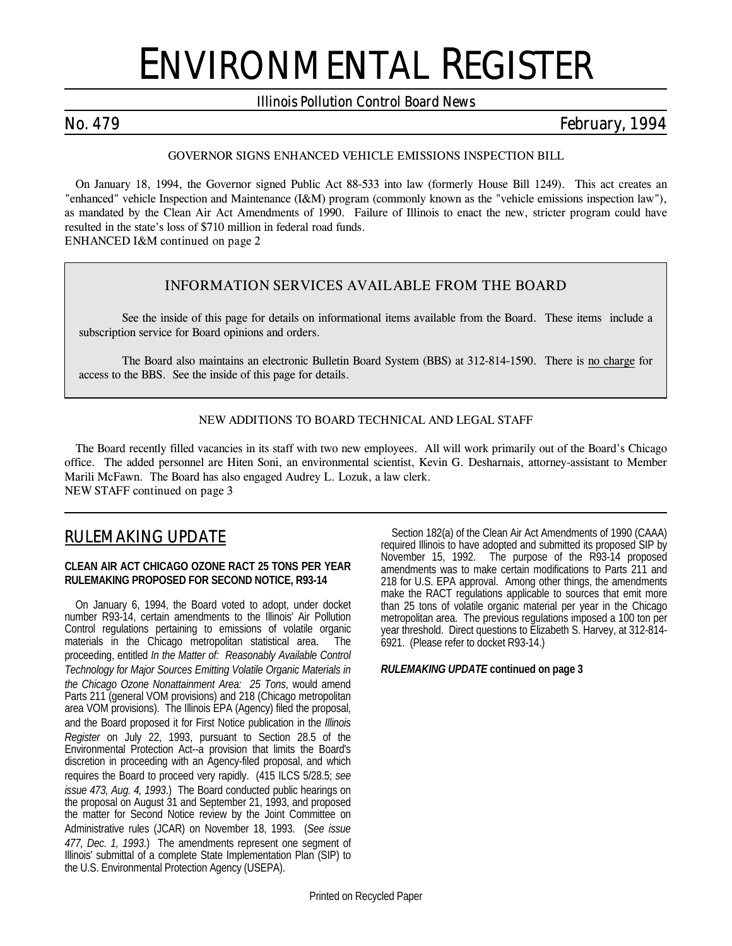# ENVIRONMENTAL REGISTER

## *Illinois Pollution Control Board News*

## *No. 479 February, 1994*

## *GOVERNOR SIGNS ENHANCED VEHICLE EMISSIONS INSPECTION BILL*

On January 18, 1994, the Governor signed Public Act 88-533 into law (formerly House Bill 1249). This act creates an "enhanced" vehicle Inspection and Maintenance (I&M) program (commonly known as the "vehicle emissions inspection law"), as mandated by the Clean Air Act Amendments of 1990. Failure of Illinois to enact the new, stricter program could have resulted in the state's loss of \$710 million in federal road funds.

*ENHANCED I&M* **continued on page 2**

## **INFORMATION SERVICES AVAILABLE FROM THE BOARD**

See the inside of this page for details on informational items available from the Board. These items include a subscription service for Board opinions and orders.

The Board also maintains an electronic Bulletin Board System (BBS) at 312-814-1590. There is no charge for access to the BBS. See the inside of this page for details.

### *NEW ADDITIONS TO BOARD TECHNICAL AND LEGAL STAFF*

The Board recently filled vacancies in its staff with two new employees. All will work primarily out of the Board's Chicago office. The added personnel are Hiten Soni, an environmental scientist, Kevin G. Desharnais, attorney-assistant to Member Marili McFawn. The Board has also engaged Audrey L. Lozuk, a law clerk. *NEW STAFF* **continued on page 3**

## *RULEMAKING UPDATE*

#### **CLEAN AIR ACT CHICAGO OZONE RACT 25 TONS PER YEAR RULEMAKING PROPOSED FOR SECOND NOTICE, R93-14**

On January 6, 1994, the Board voted to adopt, under docket number R93-14, certain amendments to the Illinois' Air Pollution Control regulations pertaining to emissions of volatile organic materials in the Chicago metropolitan statistical area. The proceeding, entitled *In the Matter of: Reasonably Available Control Technology for Major Sources Emitting Volatile Organic Materials in the Chicago Ozone Nonattainment Area: 25 Tons*, would amend Parts 211 (general VOM provisions) and 218 (Chicago metropolitan area VOM provisions). The Illinois EPA (Agency) filed the proposal, and the Board proposed it for First Notice publication in the *Illinois Register* on July 22, 1993, pursuant to Section 28.5 of the Environmental Protection Act--a provision that limits the Board's discretion in proceeding with an Agency-filed proposal, and which requires the Board to proceed very rapidly. (415 ILCS 5/28.5; *see issue 473, Aug. 4, 1993*.) The Board conducted public hearings on the proposal on August 31 and September 21, 1993, and proposed the matter for Second Notice review by the Joint Committee on Administrative rules (JCAR) on November 18, 1993. (*See issue 477, Dec. 1, 1993*.) The amendments represent one segment of Illinois' submittal of a complete State Implementation Plan (SIP) to the U.S. Environmental Protection Agency (USEPA).

Section 182(a) of the Clean Air Act Amendments of 1990 (CAAA) required Illinois to have adopted and submitted its proposed SIP by November 15, 1992. The purpose of the R93-14 proposed amendments was to make certain modifications to Parts 211 and 218 for U.S. EPA approval. Among other things, the amendments make the RACT regulations applicable to sources that emit more than 25 tons of volatile organic material per year in the Chicago metropolitan area. The previous regulations imposed a 100 ton per year threshold. Direct questions to Elizabeth S. Harvey, at 312-814- 6921. (Please refer to docket R93-14.)

#### *RULEMAKING UPDATE* **continued on page 3**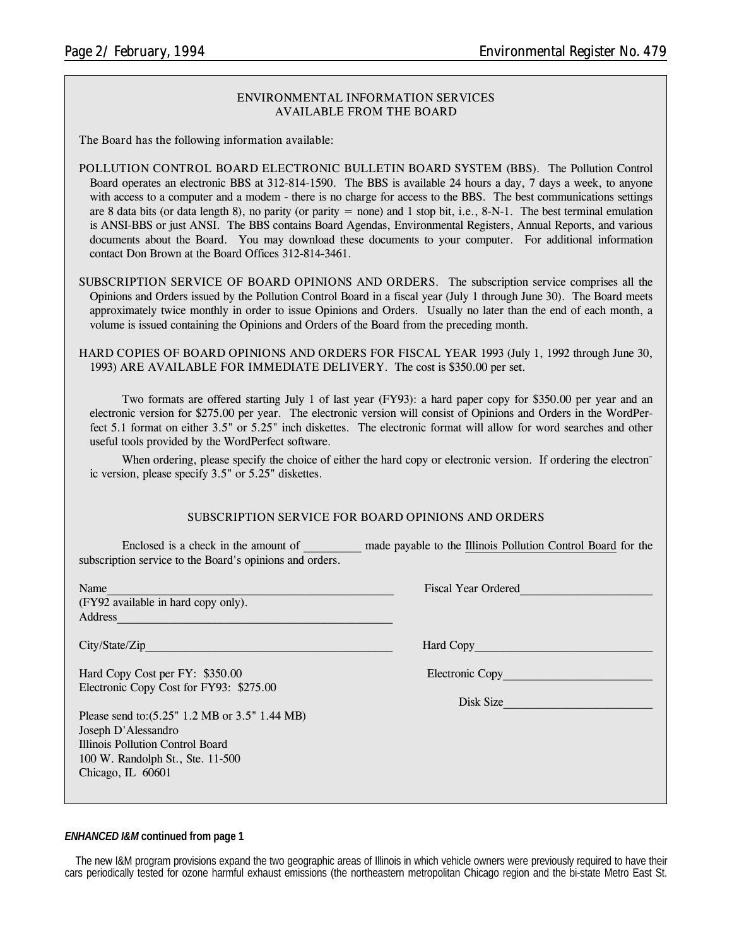### **ENVIRONMENTAL INFORMATION SERVICES AVAILABLE FROM THE BOARD**

**The Board has the following information available:**

**POLLUTION CONTROL BOARD ELECTRONIC BULLETIN BOARD SYSTEM (BBS).** The Pollution Control Board operates an electronic BBS at 312-814-1590. The BBS is available 24 hours a day, 7 days a week, to anyone with access to a computer and a modem - there is no charge for access to the BBS. The best communications settings are 8 data bits (or data length 8), no parity (or parity = none) and 1 stop bit, i.e.,  $8-N-1$ . The best terminal emulation is ANSI-BBS or just ANSI. The BBS contains Board Agendas, Environmental Registers, Annual Reports, and various documents about the Board. You may download these documents to your computer. For additional information contact Don Brown at the Board Offices 312-814-3461.

**SUBSCRIPTION SERVICE OF BOARD OPINIONS AND ORDERS.** The subscription service comprises all the Opinions and Orders issued by the Pollution Control Board in a fiscal year (July 1 through June 30). The Board meets approximately twice monthly in order to issue Opinions and Orders. Usually no later than the end of each month, a volume is issued containing the Opinions and Orders of the Board from the preceding month.

**HARD COPIES OF BOARD OPINIONS AND ORDERS FOR FISCAL YEAR 1993** (July 1, 1992 through June 30, 1993) **ARE AVAILABLE FOR IMMEDIATE DELIVERY.** The cost is \$350.00 per set.

Two formats are offered starting July 1 of last year (FY93): a hard paper copy for \$350.00 per year and an electronic version for \$275.00 per year. The electronic version will consist of Opinions and Orders in the WordPerfect 5.1 format on either 3.5" or 5.25" inch diskettes. The electronic format will allow for word searches and other useful tools provided by the WordPerfect software.

When ordering, please specify the choice of either the hard copy or electronic version. If ordering the electronic version, please specify 3.5" or 5.25" diskettes.

#### **SUBSCRIPTION SERVICE FOR BOARD OPINIONS AND ORDERS**

Enclosed is a check in the amount of **and made payable to the Illinois Pollution Control Board for the** subscription service to the Board's opinions and orders.

(FY92 available in hard copy only). Address\_\_\_\_\_\_\_\_\_\_\_\_\_\_\_\_\_\_\_\_\_\_\_\_\_\_\_\_\_\_\_\_\_\_\_\_\_\_\_\_\_\_\_\_\_\_\_\_

City/State/Zip **Example 2018** Hard Copy

Hard Copy Cost per FY: \$350.00 Electronic Copy Electronic Copy Cost for FY93: \$275.00

Please send to:(5.25" 1.2 MB or 3.5" 1.44 MB) Joseph D'Alessandro Illinois Pollution Control Board 100 W. Randolph St., Ste. 11-500 Chicago, IL 60601

Name The Contract of the Contract of the Contract of the Contract of the Contract of the Contract of the Contract of the Contract of the Contract of the Contract of the Contract of the Contract of the Contract of the Contr

Disk Size\_\_\_\_\_\_\_\_\_\_\_\_\_\_\_\_\_\_\_\_\_\_\_\_\_\_

#### *ENHANCED I&M* **continued from page 1**

The new I&M program provisions expand the two geographic areas of Illinois in which vehicle owners were previously required to have their cars periodically tested for ozone harmful exhaust emissions (the northeastern metropolitan Chicago region and the bi-state Metro East St.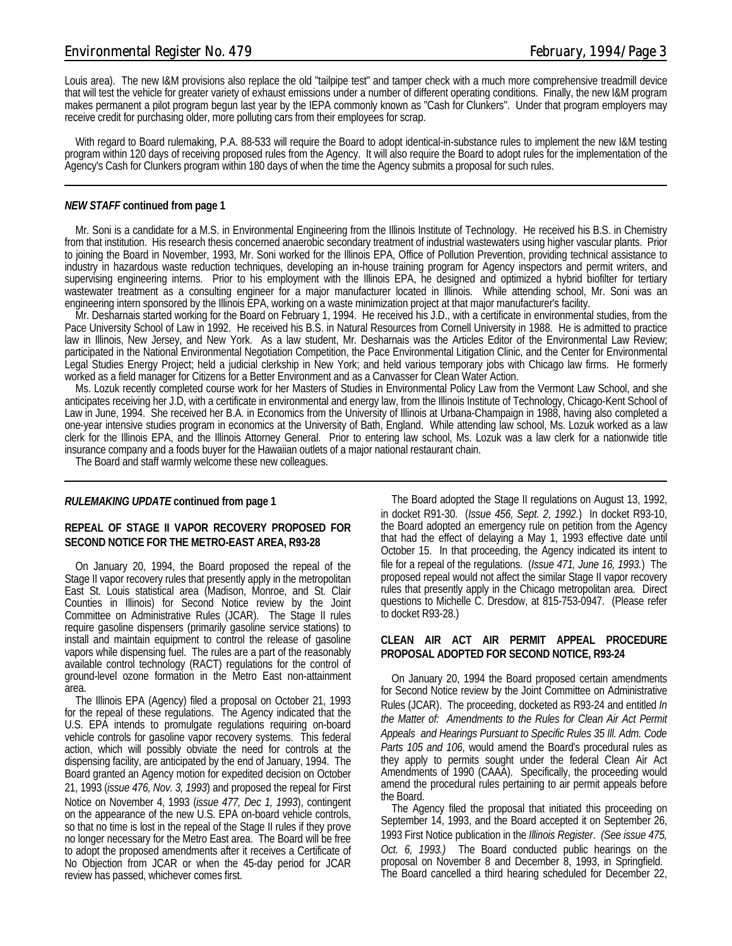Louis area). The new I&M provisions also replace the old "tailpipe test" and tamper check with a much more comprehensive treadmill device that will test the vehicle for greater variety of exhaust emissions under a number of different operating conditions. Finally, the new I&M program makes permanent a pilot program begun last year by the IEPA commonly known as "Cash for Clunkers". Under that program employers may receive credit for purchasing older, more polluting cars from their employees for scrap.

With regard to Board rulemaking, P.A. 88-533 will require the Board to adopt identical-in-substance rules to implement the new I&M testing program within 120 days of receiving proposed rules from the Agency. It will also require the Board to adopt rules for the implementation of the Agency's Cash for Clunkers program within 180 days of when the time the Agency submits a proposal for such rules.

#### *NEW STAFF* **continued from page 1**

Mr. Soni is a candidate for a M.S. in Environmental Engineering from the Illinois Institute of Technology. He received his B.S. in Chemistry from that institution. His research thesis concerned anaerobic secondary treatment of industrial wastewaters using higher vascular plants. Prior to joining the Board in November, 1993, Mr. Soni worked for the Illinois EPA, Office of Pollution Prevention, providing technical assistance to industry in hazardous waste reduction techniques, developing an in-house training program for Agency inspectors and permit writers, and supervising engineering interns. Prior to his employment with the Illinois EPA, he designed and optimized a hybrid biofilter for tertiary wastewater treatment as a consulting engineer for a major manufacturer located in Illinois. While attending school, Mr. Soni was an engineering intern sponsored by the Illinois EPA, working on a waste minimization project at that major manufacturer's facility.

Mr. Desharnais started working for the Board on February 1, 1994. He received his J.D., with a certificate in environmental studies, from the Pace University School of Law in 1992. He received his B.S. in Natural Resources from Cornell University in 1988. He is admitted to practice law in Illinois, New Jersey, and New York. As a law student, Mr. Desharnais was the Articles Editor of the Environmental Law Review; participated in the National Environmental Negotiation Competition, the Pace Environmental Litigation Clinic, and the Center for Environmental Legal Studies Energy Project; held a judicial clerkship in New York; and held various temporary jobs with Chicago law firms. He formerly worked as a field manager for Citizens for a Better Environment and as a Canvasser for Clean Water Action.

Ms. Lozuk recently completed course work for her Masters of Studies in Environmental Policy Law from the Vermont Law School, and she anticipates receiving her J.D, with a certificate in environmental and energy law, from the Illinois Institute of Technology, Chicago-Kent School of Law in June, 1994. She received her B.A. in Economics from the University of Illinois at Urbana-Champaign in 1988, having also completed a one-year intensive studies program in economics at the University of Bath, England. While attending law school, Ms. Lozuk worked as a law clerk for the Illinois EPA, and the Illinois Attorney General. Prior to entering law school, Ms. Lozuk was a law clerk for a nationwide title insurance company and a foods buyer for the Hawaiian outlets of a major national restaurant chain.

The Board and staff warmly welcome these new colleagues.

#### *RULEMAKING UPDATE* **continued from page 1**

#### **REPEAL OF STAGE II VAPOR RECOVERY PROPOSED FOR SECOND NOTICE FOR THE METRO-EAST AREA, R93-28**

On January 20, 1994, the Board proposed the repeal of the Stage II vapor recovery rules that presently apply in the metropolitan East St. Louis statistical area (Madison, Monroe, and St. Clair Counties in Illinois) for Second Notice review by the Joint Committee on Administrative Rules (JCAR). The Stage II rules require gasoline dispensers (primarily gasoline service stations) to install and maintain equipment to control the release of gasoline vapors while dispensing fuel. The rules are a part of the reasonably available control technology (RACT) regulations for the control of ground-level ozone formation in the Metro East non-attainment area.

The Illinois EPA (Agency) filed a proposal on October 21, 1993 for the repeal of these regulations. The Agency indicated that the U.S. EPA intends to promulgate regulations requiring on-board vehicle controls for gasoline vapor recovery systems. This federal action, which will possibly obviate the need for controls at the dispensing facility, are anticipated by the end of January, 1994. The Board granted an Agency motion for expedited decision on October 21, 1993 (*issue 476, Nov. 3, 1993*) and proposed the repeal for First Notice on November 4, 1993 (*issue 477, Dec 1, 1993*), contingent on the appearance of the new U.S. EPA on-board vehicle controls, so that no time is lost in the repeal of the Stage II rules if they prove no longer necessary for the Metro East area. The Board will be free to adopt the proposed amendments after it receives a Certificate of No Objection from JCAR or when the 45-day period for JCAR review has passed, whichever comes first.

The Board adopted the Stage II regulations on August 13, 1992, in docket R91-30. (*Issue 456, Sept. 2, 1992.*) In docket R93-10, the Board adopted an emergency rule on petition from the Agency that had the effect of delaying a May 1, 1993 effective date until October 15. In that proceeding, the Agency indicated its intent to file for a repeal of the regulations. (*Issue 471, June 16, 1993.*) The proposed repeal would not affect the similar Stage II vapor recovery rules that presently apply in the Chicago metropolitan area. Direct questions to Michelle C. Dresdow, at 815-753-0947. (Please refer to docket R93-28.)

#### **CLEAN AIR ACT AIR PERMIT APPEAL PROCEDURE PROPOSAL ADOPTED FOR SECOND NOTICE, R93-24**

On January 20, 1994 the Board proposed certain amendments for Second Notice review by the Joint Committee on Administrative Rules (JCAR). The proceeding, docketed as R93-24 and entitled *In the Matter of: Amendments to the Rules for Clean Air Act Permit Appeals and Hearings Pursuant to Specific Rules 35 Ill. Adm. Code Parts 105 and 106*, would amend the Board's procedural rules as they apply to permits sought under the federal Clean Air Act Amendments of 1990 (CAAA). Specifically, the proceeding would amend the procedural rules pertaining to air permit appeals before the Board.

The Agency filed the proposal that initiated this proceeding on September 14, 1993, and the Board accepted it on September 26, 1993 First Notice publication in the *Illinois Register*. *(See issue 475, Oct. 6, 1993.)* The Board conducted public hearings on the proposal on November 8 and December 8, 1993, in Springfield. The Board cancelled a third hearing scheduled for December 22,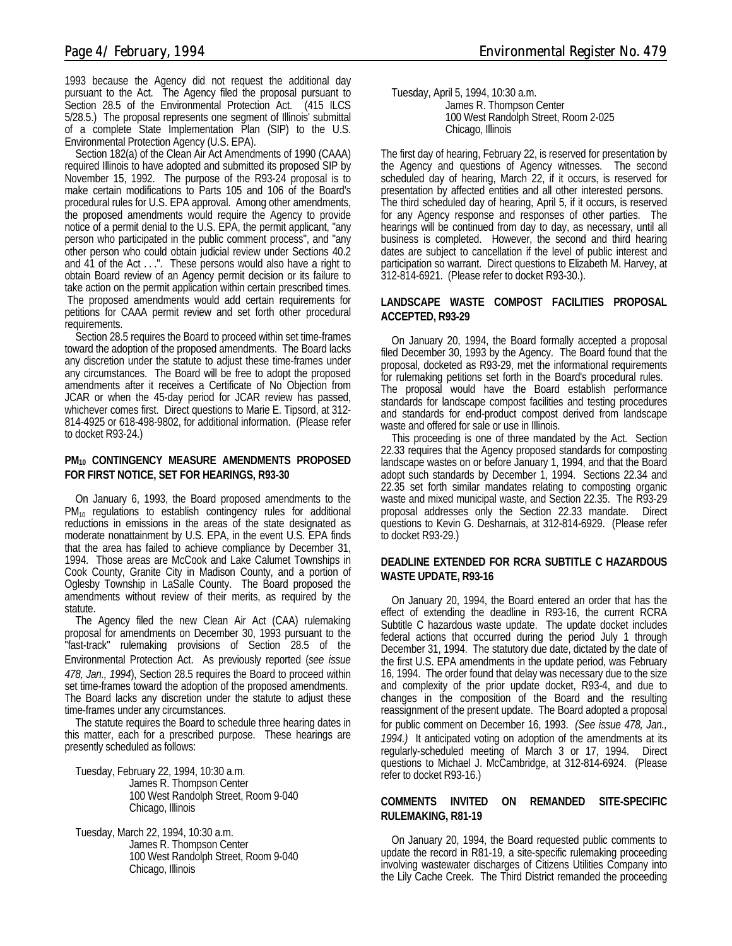1993 because the Agency did not request the additional day pursuant to the Act. The Agency filed the proposal pursuant to Section 28.5 of the Environmental Protection Act. (415 ILCS 5/28.5.) The proposal represents one segment of Illinois' submittal of a complete State Implementation Plan (SIP) to the U.S. Environmental Protection Agency (U.S. EPA).

Section 182(a) of the Clean Air Act Amendments of 1990 (CAAA) required Illinois to have adopted and submitted its proposed SIP by November 15, 1992. The purpose of the R93-24 proposal is to make certain modifications to Parts 105 and 106 of the Board's procedural rules for U.S. EPA approval. Among other amendments, the proposed amendments would require the Agency to provide notice of a permit denial to the U.S. EPA, the permit applicant, "any person who participated in the public comment process", and "any other person who could obtain judicial review under Sections 40.2 and 41 of the Act . . .". These persons would also have a right to obtain Board review of an Agency permit decision or its failure to take action on the permit application within certain prescribed times. The proposed amendments would add certain requirements for petitions for CAAA permit review and set forth other procedural requirements.

Section 28.5 requires the Board to proceed within set time-frames toward the adoption of the proposed amendments. The Board lacks any discretion under the statute to adjust these time-frames under any circumstances. The Board will be free to adopt the proposed amendments after it receives a Certificate of No Objection from JCAR or when the 45-day period for JCAR review has passed, whichever comes first. Direct questions to Marie E. Tipsord, at 312- 814-4925 or 618-498-9802, for additional information. (Please refer to docket R93-24.)

#### **PM10 CONTINGENCY MEASURE AMENDMENTS PROPOSED FOR FIRST NOTICE, SET FOR HEARINGS, R93-30**

On January 6, 1993, the Board proposed amendments to the  $PM_{10}$  regulations to establish contingency rules for additional reductions in emissions in the areas of the state designated as moderate nonattainment by U.S. EPA, in the event U.S. EPA finds that the area has failed to achieve compliance by December 31, 1994. Those areas are McCook and Lake Calumet Townships in Cook County, Granite City in Madison County, and a portion of Oglesby Township in LaSalle County. The Board proposed the amendments without review of their merits, as required by the statute.

The Agency filed the new Clean Air Act (CAA) rulemaking proposal for amendments on December 30, 1993 pursuant to the "fast-track" rulemaking provisions of Section 28.5 of the Environmental Protection Act. As previously reported (*see issue 478, Jan., 1994*), Section 28.5 requires the Board to proceed within set time-frames toward the adoption of the proposed amendments. The Board lacks any discretion under the statute to adjust these time-frames under any circumstances.

The statute requires the Board to schedule three hearing dates in this matter, each for a prescribed purpose. These hearings are presently scheduled as follows:

Tuesday, February 22, 1994, 10:30 a.m. James R. Thompson Center 100 West Randolph Street, Room 9-040 Chicago, Illinois

Tuesday, March 22, 1994, 10:30 a.m. James R. Thompson Center 100 West Randolph Street, Room 9-040 Chicago, Illinois

Tuesday, April 5, 1994, 10:30 a.m. James R. Thompson Center 100 West Randolph Street, Room 2-025 Chicago, Illinois

The first day of hearing, February 22, is reserved for presentation by the Agency and questions of Agency witnesses. The second scheduled day of hearing, March 22, if it occurs, is reserved for presentation by affected entities and all other interested persons. The third scheduled day of hearing, April 5, if it occurs, is reserved for any Agency response and responses of other parties. The hearings will be continued from day to day, as necessary, until all business is completed. However, the second and third hearing dates are subject to cancellation if the level of public interest and participation so warrant. Direct questions to Elizabeth M. Harvey, at 312-814-6921. (Please refer to docket R93-30.).

#### **LANDSCAPE WASTE COMPOST FACILITIES PROPOSAL ACCEPTED, R93-29**

On January 20, 1994, the Board formally accepted a proposal filed December 30, 1993 by the Agency. The Board found that the proposal, docketed as R93-29, met the informational requirements for rulemaking petitions set forth in the Board's procedural rules. The proposal would have the Board establish performance standards for landscape compost facilities and testing procedures and standards for end-product compost derived from landscape waste and offered for sale or use in Illinois.

This proceeding is one of three mandated by the Act. Section 22.33 requires that the Agency proposed standards for composting landscape wastes on or before January 1, 1994, and that the Board adopt such standards by December 1, 1994. Sections 22.34 and 22.35 set forth similar mandates relating to composting organic waste and mixed municipal waste, and Section 22.35. The R93-29 proposal addresses only the Section 22.33 mandate. Direct questions to Kevin G. Desharnais, at 312-814-6929. (Please refer to docket R93-29.)

#### **DEADLINE EXTENDED FOR RCRA SUBTITLE C HAZARDOUS WASTE UPDATE, R93-16**

On January 20, 1994, the Board entered an order that has the effect of extending the deadline in R93-16, the current RCRA Subtitle C hazardous waste update. The update docket includes federal actions that occurred during the period July 1 through December 31, 1994. The statutory due date, dictated by the date of the first U.S. EPA amendments in the update period, was February 16, 1994. The order found that delay was necessary due to the size and complexity of the prior update docket, R93-4, and due to changes in the composition of the Board and the resulting reassignment of the present update. The Board adopted a proposal for public comment on December 16, 1993. *(See issue 478, Jan., 1994.)* It anticipated voting on adoption of the amendments at its regularly-scheduled meeting of March 3 or 17, 1994. Direct questions to Michael J. McCambridge, at 312-814-6924. (Please refer to docket R93-16.)

#### **COMMENTS INVITED ON REMANDED SITE-SPECIFIC RULEMAKING, R81-19**

On January 20, 1994, the Board requested public comments to update the record in R81-19, a site-specific rulemaking proceeding involving wastewater discharges of Citizens Utilities Company into the Lily Cache Creek. The Third District remanded the proceeding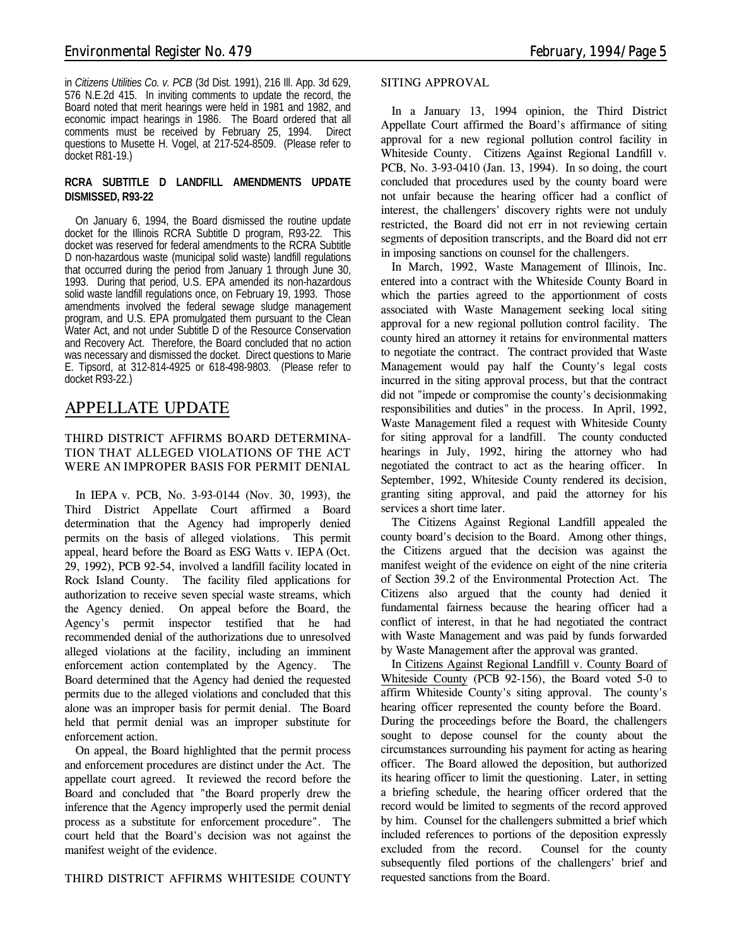in *Citizens Utilities Co. v. PCB* (3d Dist. 1991), 216 Ill. App. 3d 629, 576 N.E.2d 415. In inviting comments to update the record, the Board noted that merit hearings were held in 1981 and 1982, and economic impact hearings in 1986. The Board ordered that all comments must be received by February 25, 1994. Direct questions to Musette H. Vogel, at 217-524-8509. (Please refer to docket R81-19.)

#### **RCRA SUBTITLE D LANDFILL AMENDMENTS UPDATE DISMISSED, R93-22**

On January 6, 1994, the Board dismissed the routine update docket for the Illinois RCRA Subtitle D program, R93-22. This docket was reserved for federal amendments to the RCRA Subtitle D non-hazardous waste (municipal solid waste) landfill regulations that occurred during the period from January 1 through June 30, 1993. During that period, U.S. EPA amended its non-hazardous solid waste landfill regulations once, on February 19, 1993. Those amendments involved the federal sewage sludge management program, and U.S. EPA promulgated them pursuant to the Clean Water Act, and not under Subtitle D of the Resource Conservation and Recovery Act. Therefore, the Board concluded that no action was necessary and dismissed the docket. Direct questions to Marie E. Tipsord, at 312-814-4925 or 618-498-9803. (Please refer to docket R93-22.)

## *APPELLATE UPDATE*

#### **THIRD DISTRICT AFFIRMS BOARD DETERMINA-TION THAT ALLEGED VIOLATIONS OF THE ACT WERE AN IMPROPER BASIS FOR PERMIT DENIAL**

In *IEPA v. PCB*, No. 3-93-0144 (Nov. 30, 1993), the Third District Appellate Court affirmed a Board determination that the Agency had improperly denied permits on the basis of alleged violations. This permit appeal, heard before the Board as *ESG Watts v. IEPA* (Oct. 29, 1992), PCB 92-54, involved a landfill facility located in Rock Island County. The facility filed applications for authorization to receive seven special waste streams, which the Agency denied. On appeal before the Board, the Agency's permit inspector testified that he had recommended denial of the authorizations due to unresolved alleged violations at the facility, including an imminent enforcement action contemplated by the Agency. The Board determined that the Agency had denied the requested permits due to the alleged violations and concluded that this alone was an improper basis for permit denial. The Board held that permit denial was an improper substitute for enforcement action.

On appeal, the Board highlighted that the permit process and enforcement procedures are distinct under the Act. The appellate court agreed. It reviewed the record before the Board and concluded that "the Board properly drew the inference that the Agency improperly used the permit denial process as a substitute for enforcement procedure". The court held that the Board's decision was not against the manifest weight of the evidence.

**THIRD DISTRICT AFFIRMS WHITESIDE COUNTY**

#### **SITING APPROVAL**

In a January 13, 1994 opinion, the Third District Appellate Court affirmed the Board's affirmance of siting approval for a new regional pollution control facility in Whiteside County. *Citizens Against Regional Landfill v. PCB*, No. 3-93-0410 (Jan. 13, 1994). In so doing, the court concluded that procedures used by the county board were not unfair because the hearing officer had a conflict of interest, the challengers' discovery rights were not unduly restricted, the Board did not err in not reviewing certain segments of deposition transcripts, and the Board did not err in imposing sanctions on counsel for the challengers.

In March, 1992, Waste Management of Illinois, Inc. entered into a contract with the Whiteside County Board in which the parties agreed to the apportionment of costs associated with Waste Management seeking local siting approval for a new regional pollution control facility. The county hired an attorney it retains for environmental matters to negotiate the contract. The contract provided that Waste Management would pay half the County's legal costs incurred in the siting approval process, but that the contract did not "impede or compromise the county's decisionmaking responsibilities and duties" in the process. In April, 1992, Waste Management filed a request with Whiteside County for siting approval for a landfill. The county conducted hearings in July, 1992, hiring the attorney who had negotiated the contract to act as the hearing officer. In September, 1992, Whiteside County rendered its decision, granting siting approval, and paid the attorney for his services a short time later.

The Citizens Against Regional Landfill appealed the county board's decision to the Board. Among other things, the Citizens argued that the decision was against the manifest weight of the evidence on eight of the nine criteria of Section 39.2 of the Environmental Protection Act. The Citizens also argued that the county had denied it fundamental fairness because the hearing officer had a conflict of interest, in that he had negotiated the contract with Waste Management and was paid by funds forwarded by Waste Management after the approval was granted.

In Citizens Against Regional Landfill v. County Board of Whiteside County (PCB 92-156), the Board voted 5-0 to affirm Whiteside County's siting approval. The county's hearing officer represented the county before the Board. During the proceedings before the Board, the challengers sought to depose counsel for the county about the circumstances surrounding his payment for acting as hearing officer. The Board allowed the deposition, but authorized its hearing officer to limit the questioning. Later, in setting a briefing schedule, the hearing officer ordered that the record would be limited to segments of the record approved by him. Counsel for the challengers submitted a brief which included references to portions of the deposition expressly excluded from the record. Counsel for the county subsequently filed portions of the challengers' brief and requested sanctions from the Board.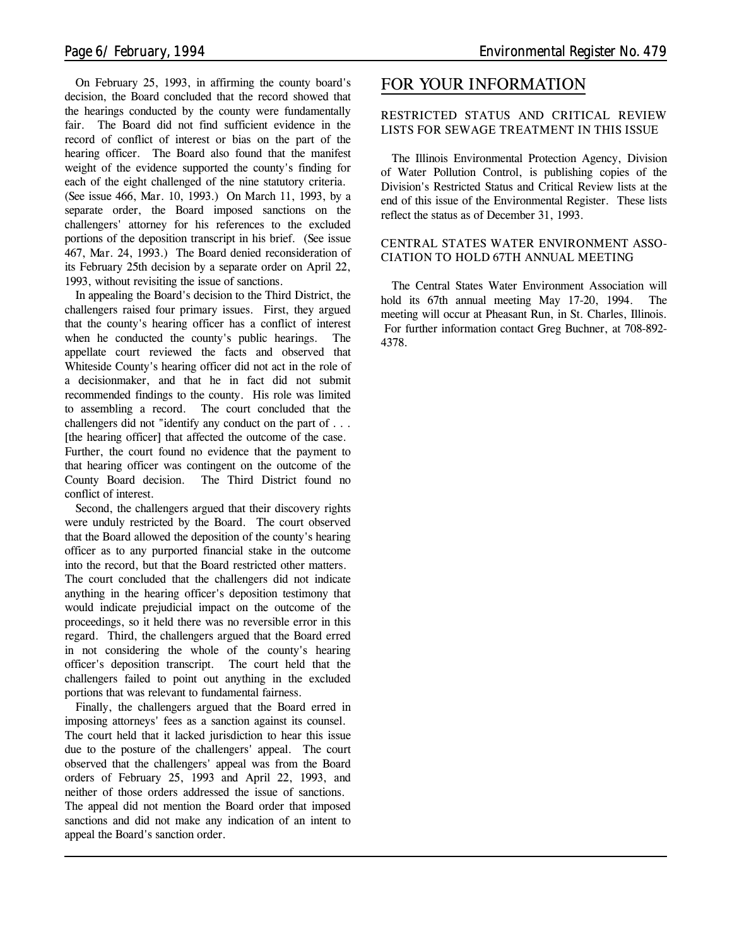On February 25, 1993, in affirming the county board's decision, the Board concluded that the record showed that the hearings conducted by the county were fundamentally fair. The Board did not find sufficient evidence in the record of conflict of interest or bias on the part of the hearing officer. The Board also found that the manifest weight of the evidence supported the county's finding for each of the eight challenged of the nine statutory criteria. (*See issue 466, Mar. 10, 1993.*) On March 11, 1993, by a separate order, the Board imposed sanctions on the challengers' attorney for his references to the excluded portions of the deposition transcript in his brief. (*See issue 467, Mar. 24, 1993.*) The Board denied reconsideration of its February 25th decision by a separate order on April 22, 1993, without revisiting the issue of sanctions.

In appealing the Board's decision to the Third District, the challengers raised four primary issues. First, they argued that the county's hearing officer has a conflict of interest when he conducted the county's public hearings. The appellate court reviewed the facts and observed that Whiteside County's hearing officer did not act in the role of a decisionmaker, and that he in fact did not submit recommended findings to the county. His role was limited to assembling a record. The court concluded that the challengers did not "identify any conduct on the part of . . . [the hearing officer] that affected the outcome of the case. Further, the court found no evidence that the payment to that hearing officer was contingent on the outcome of the County Board decision. The Third District found no conflict of interest.

Second, the challengers argued that their discovery rights were unduly restricted by the Board. The court observed that the Board allowed the deposition of the county's hearing officer as to any purported financial stake in the outcome into the record, but that the Board restricted other matters. The court concluded that the challengers did not indicate anything in the hearing officer's deposition testimony that would indicate prejudicial impact on the outcome of the proceedings, so it held there was no reversible error in this regard. Third, the challengers argued that the Board erred in not considering the whole of the county's hearing officer's deposition transcript. The court held that the challengers failed to point out anything in the excluded portions that was relevant to fundamental fairness.

Finally, the challengers argued that the Board erred in imposing attorneys' fees as a sanction against its counsel. The court held that it lacked jurisdiction to hear this issue due to the posture of the challengers' appeal. The court observed that the challengers' appeal was from the Board orders of February 25, 1993 and April 22, 1993, and neither of those orders addressed the issue of sanctions. The appeal did not mention the Board order that imposed sanctions and did not make any indication of an intent to appeal the Board's sanction order.

## *FOR YOUR INFORMATION*

#### **RESTRICTED STATUS AND CRITICAL REVIEW LISTS FOR SEWAGE TREATMENT IN THIS ISSUE**

The Illinois Environmental Protection Agency, Division of Water Pollution Control, is publishing copies of the Division's Restricted Status and Critical Review lists at the end of this issue of the Environmental Register. These lists reflect the status as of December 31, 1993.

#### **CENTRAL STATES WATER ENVIRONMENT ASSO-CIATION TO HOLD 67TH ANNUAL MEETING**

The Central States Water Environment Association will hold its 67th annual meeting May 17-20, 1994. The meeting will occur at Pheasant Run, in St. Charles, Illinois. For further information contact Greg Buchner, at 708-892- 4378.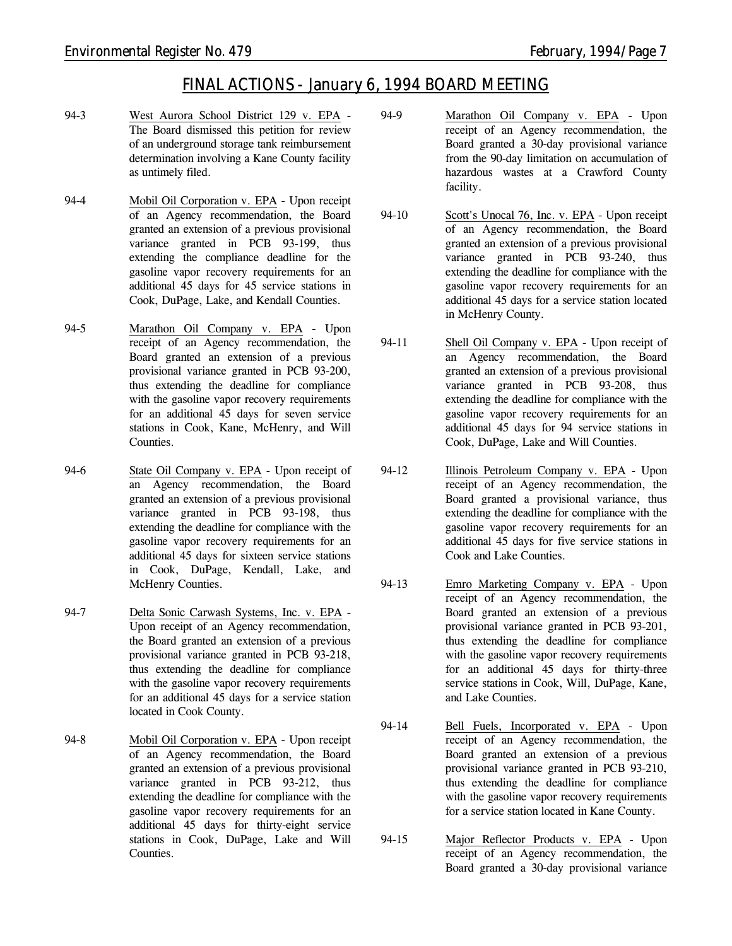## *FINAL ACTIONS - January 6, 1994 BOARD MEETING*

- 94-3 West Aurora School District 129 v. EPA The Board dismissed this petition for review of an underground storage tank reimbursement determination involving a Kane County facility as untimely filed.
- 94-4 Mobil Oil Corporation v. EPA Upon receipt of an Agency recommendation, the Board granted an extension of a previous provisional variance granted in PCB 93-199, thus extending the compliance deadline for the gasoline vapor recovery requirements for an additional 45 days for 45 service stations in Cook, DuPage, Lake, and Kendall Counties.
- 94-5 Marathon Oil Company v. EPA Upon receipt of an Agency recommendation, the Board granted an extension of a previous provisional variance granted in PCB 93-200, thus extending the deadline for compliance with the gasoline vapor recovery requirements for an additional 45 days for seven service stations in Cook, Kane, McHenry, and Will Counties.
- 94-6 State Oil Company v. EPA Upon receipt of an Agency recommendation, the Board granted an extension of a previous provisional variance granted in PCB 93-198, thus extending the deadline for compliance with the gasoline vapor recovery requirements for an additional 45 days for sixteen service stations in Cook, DuPage, Kendall, Lake, and McHenry Counties.
- 94-7 Delta Sonic Carwash Systems, Inc. v. EPA Upon receipt of an Agency recommendation, the Board granted an extension of a previous provisional variance granted in PCB 93-218, thus extending the deadline for compliance with the gasoline vapor recovery requirements for an additional 45 days for a service station located in Cook County.
- 94-8 Mobil Oil Corporation v. EPA Upon receipt of an Agency recommendation, the Board granted an extension of a previous provisional variance granted in PCB 93-212, thus extending the deadline for compliance with the gasoline vapor recovery requirements for an additional 45 days for thirty-eight service stations in Cook, DuPage, Lake and Will Counties.
- 94-9 Marathon Oil Company v. EPA Upon receipt of an Agency recommendation, the Board granted a 30-day provisional variance from the 90-day limitation on accumulation of hazardous wastes at a Crawford County facility.
- 94-10 Scott's Unocal 76, Inc. v. EPA Upon receipt of an Agency recommendation, the Board granted an extension of a previous provisional variance granted in PCB 93-240, thus extending the deadline for compliance with the gasoline vapor recovery requirements for an additional 45 days for a service station located in McHenry County.
- 94-11 Shell Oil Company v. EPA Upon receipt of an Agency recommendation, the Board granted an extension of a previous provisional variance granted in PCB 93-208, thus extending the deadline for compliance with the gasoline vapor recovery requirements for an additional 45 days for 94 service stations in Cook, DuPage, Lake and Will Counties.
- 94-12 Illinois Petroleum Company v. EPA Upon receipt of an Agency recommendation, the Board granted a provisional variance, thus extending the deadline for compliance with the gasoline vapor recovery requirements for an additional 45 days for five service stations in Cook and Lake Counties.
- 94-13 Emro Marketing Company v. EPA Upon receipt of an Agency recommendation, the Board granted an extension of a previous provisional variance granted in PCB 93-201, thus extending the deadline for compliance with the gasoline vapor recovery requirements for an additional 45 days for thirty-three service stations in Cook, Will, DuPage, Kane, and Lake Counties.
- 94-14 Bell Fuels, Incorporated v. EPA Upon receipt of an Agency recommendation, the Board granted an extension of a previous provisional variance granted in PCB 93-210, thus extending the deadline for compliance with the gasoline vapor recovery requirements for a service station located in Kane County.
- 94-15 Major Reflector Products v. EPA Upon receipt of an Agency recommendation, the Board granted a 30-day provisional variance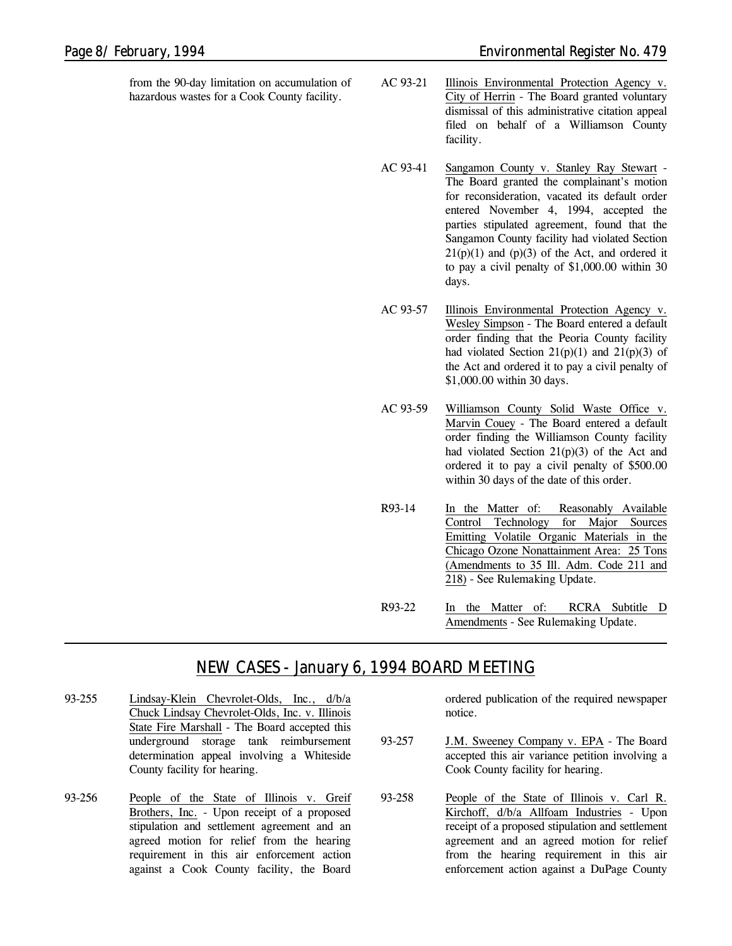from the 90-day limitation on accumulation of hazardous wastes for a Cook County facility.

- AC 93-21 Illinois Environmental Protection Agency v. City of Herrin - The Board granted voluntary dismissal of this administrative citation appeal filed on behalf of a Williamson County facility.
- AC 93-41 Sangamon County v. Stanley Ray Stewart The Board granted the complainant's motion for reconsideration, vacated its default order entered November 4, 1994, accepted the parties stipulated agreement, found that the Sangamon County facility had violated Section  $21(p)(1)$  and  $(p)(3)$  of the Act, and ordered it to pay a civil penalty of \$1,000.00 within 30 days.
- AC 93-57 Illinois Environmental Protection Agency v. Wesley Simpson - The Board entered a default order finding that the Peoria County facility had violated Section  $21(p)(1)$  and  $21(p)(3)$  of the Act and ordered it to pay a civil penalty of \$1,000.00 within 30 days.
- AC 93-59 Williamson County Solid Waste Office v. Marvin Couey - The Board entered a default order finding the Williamson County facility had violated Section 21(p)(3) of the Act and ordered it to pay a civil penalty of \$500.00 within 30 days of the date of this order.
- R93-14 In the Matter of: Reasonably Available Control Technology for Major Sources Emitting Volatile Organic Materials in the Chicago Ozone Nonattainment Area: 25 Tons (Amendments to 35 Ill. Adm. Code 211 and 218) - *See Rulemaking Update.*
- R93-22 In the Matter of: RCRA Subtitle D Amendments - *See Rulemaking Update.*

## *NEW CASES - January 6, 1994 BOARD MEETING*

- 93-255 Lindsay-Klein Chevrolet-Olds, Inc., d/b/a Chuck Lindsay Chevrolet-Olds, Inc. v. Illinois State Fire Marshall - The Board accepted this underground storage tank reimbursement determination appeal involving a Whiteside County facility for hearing.
- 93-256 People of the State of Illinois v. Greif Brothers, Inc. - Upon receipt of a proposed stipulation and settlement agreement and an agreed motion for relief from the hearing requirement in this air enforcement action against a Cook County facility, the Board

ordered publication of the required newspaper notice.

- 93-257 J.M. Sweeney Company v. EPA The Board accepted this air variance petition involving a Cook County facility for hearing.
- 93-258 People of the State of Illinois v. Carl R. Kirchoff, d/b/a Allfoam Industries - Upon receipt of a proposed stipulation and settlement agreement and an agreed motion for relief from the hearing requirement in this air enforcement action against a DuPage County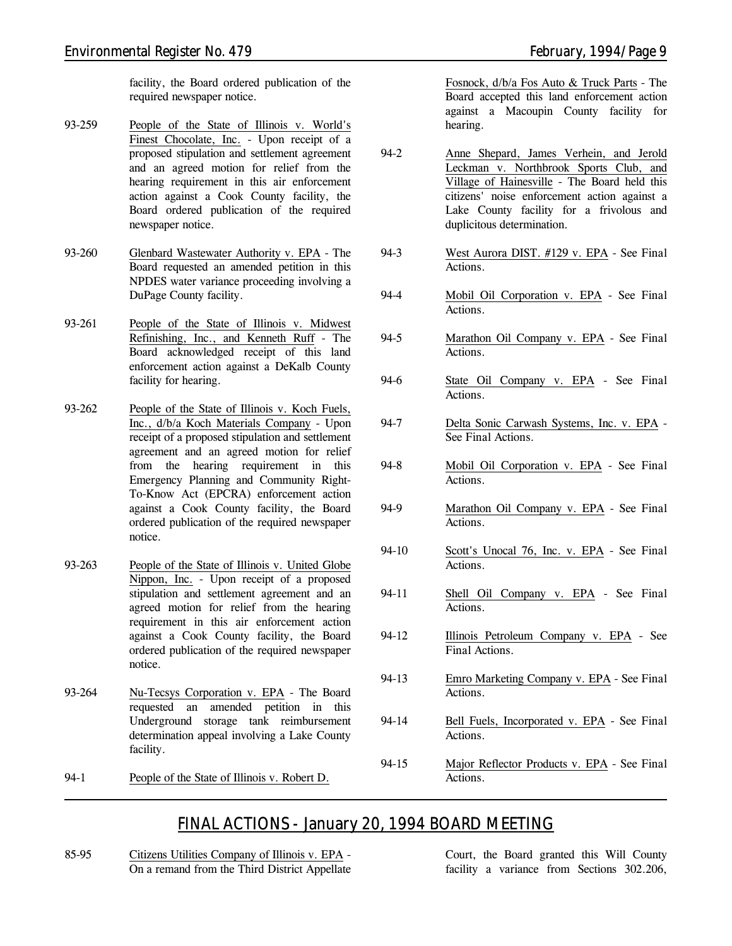facility, the Board ordered publication of the required newspaper notice.

- 93-259 People of the State of Illinois v. World's Finest Chocolate, Inc. - Upon receipt of a proposed stipulation and settlement agreement and an agreed motion for relief from the hearing requirement in this air enforcement action against a Cook County facility, the Board ordered publication of the required newspaper notice.
- 93-260 Glenbard Wastewater Authority v. EPA The Board requested an amended petition in this NPDES water variance proceeding involving a DuPage County facility.
- 93-261 People of the State of Illinois v. Midwest Refinishing, Inc., and Kenneth Ruff - The Board acknowledged receipt of this land enforcement action against a DeKalb County facility for hearing.
- 93-262 People of the State of Illinois v. Koch Fuels, Inc., d/b/a Koch Materials Company - Upon receipt of a proposed stipulation and settlement agreement and an agreed motion for relief from the hearing requirement in this Emergency Planning and Community Right-To-Know Act (EPCRA) enforcement action against a Cook County facility, the Board ordered publication of the required newspaper notice.
- 93-263 People of the State of Illinois v. United Globe Nippon, Inc. - Upon receipt of a proposed stipulation and settlement agreement and an agreed motion for relief from the hearing requirement in this air enforcement action against a Cook County facility, the Board ordered publication of the required newspaper notice.
- 93-264 Nu-Tecsys Corporation v. EPA The Board requested an amended petition in this Underground storage tank reimbursement determination appeal involving a Lake County facility.
- 94-1 People of the State of Illinois v. Robert D.

Fosnock, d/b/a Fos Auto & Truck Parts - The Board accepted this land enforcement action against a Macoupin County facility for hearing.

- 94-2 Anne Shepard, James Verhein, and Jerold Leckman v. Northbrook Sports Club, and Village of Hainesville - The Board held this citizens' noise enforcement action against a Lake County facility for a frivolous and duplicitous determination.
- 94-3 West Aurora DIST. #129 v. EPA *See Final Actions.*
- 94-4 Mobil Oil Corporation v. EPA *See Final Actions.*
- 94-5 Marathon Oil Company v. EPA *See Final Actions.*
- 94-6 State Oil Company v. EPA *See Final Actions.*
- 94-7 Delta Sonic Carwash Systems, Inc. v. EPA *See Final Actions.*
- 94-8 Mobil Oil Corporation v. EPA *See Final Actions.*
- 94-9 Marathon Oil Company v. EPA *See Final Actions.*
- 94-10 Scott's Unocal 76, Inc. v. EPA *See Final Actions.*
- 94-11 Shell Oil Company v. EPA *See Final Actions.*
- 94-12 Illinois Petroleum Company v. EPA *See Final Actions.*
- 94-13 Emro Marketing Company v. EPA *See Final Actions.*
- 94-14 Bell Fuels, Incorporated v. EPA *See Final Actions.*
- 94-15 Major Reflector Products v. EPA *See Final Actions.*

## *FINAL ACTIONS - January 20, 1994 BOARD MEETING*

85-95 Citizens Utilities Company of Illinois v. EPA - On a remand from the Third District Appellate Court, the Board granted this Will County facility a variance from Sections 302.206,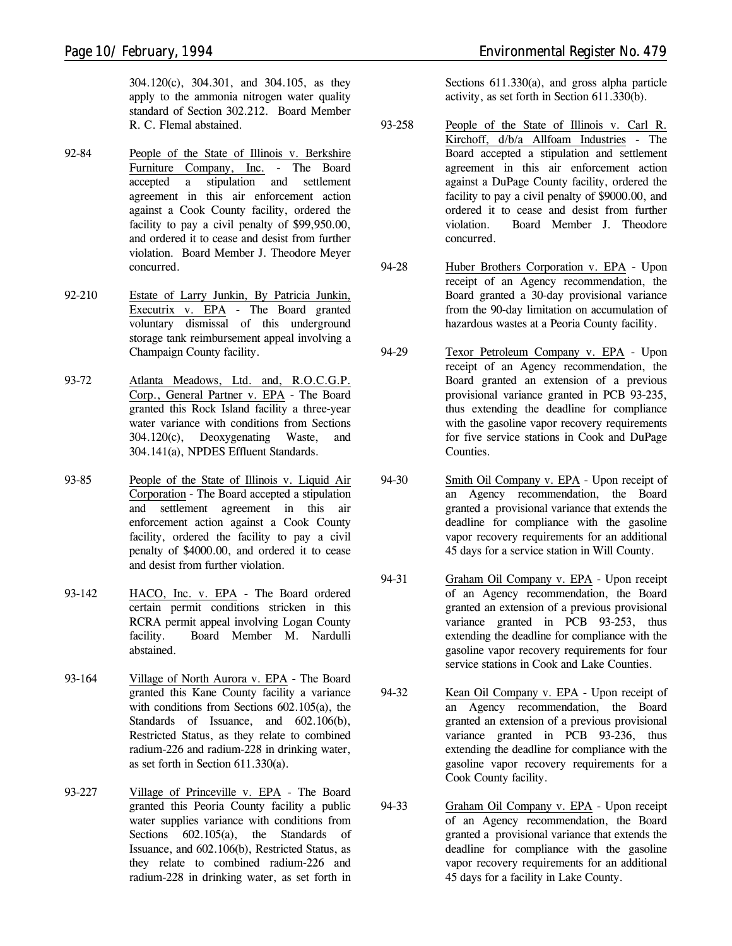304.120(c), 304.301, and 304.105, as they apply to the ammonia nitrogen water quality standard of Section 302.212. Board Member R. C. Flemal abstained.

- 92-84 People of the State of Illinois v. Berkshire Furniture Company, Inc. - The Board accepted a stipulation and settlement agreement in this air enforcement action against a Cook County facility, ordered the facility to pay a civil penalty of \$99,950.00, and ordered it to cease and desist from further violation. Board Member J. Theodore Meyer concurred.
- 92-210 Estate of Larry Junkin, By Patricia Junkin, Executrix v. EPA - The Board granted voluntary dismissal of this underground storage tank reimbursement appeal involving a Champaign County facility.
- 93-72 Atlanta Meadows, Ltd. and, R.O.C.G.P. Corp., General Partner v. EPA - The Board granted this Rock Island facility a three-year water variance with conditions from Sections 304.120(c), Deoxygenating Waste, and 304.141(a), NPDES Effluent Standards.
- 93-85 People of the State of Illinois v. Liquid Air Corporation - The Board accepted a stipulation and settlement agreement in this air enforcement action against a Cook County facility, ordered the facility to pay a civil penalty of \$4000.00, and ordered it to cease and desist from further violation.
- 93-142 HACO, Inc. v. EPA The Board ordered certain permit conditions stricken in this RCRA permit appeal involving Logan County facility. Board Member M. Nardulli abstained.
- 93-164 Village of North Aurora v. EPA The Board granted this Kane County facility a variance with conditions from Sections 602.105(a), the Standards of Issuance, and 602.106(b), Restricted Status, as they relate to combined radium-226 and radium-228 in drinking water, as set forth in Section 611.330(a).
- 93-227 Village of Princeville v. EPA The Board granted this Peoria County facility a public water supplies variance with conditions from Sections 602.105(a), the Standards of Issuance, and 602.106(b), Restricted Status, as they relate to combined radium-226 and radium-228 in drinking water, as set forth in

Sections 611.330(a), and gross alpha particle activity, as set forth in Section 611.330(b).

- 93-258 People of the State of Illinois v. Carl R. Kirchoff, d/b/a Allfoam Industries - The Board accepted a stipulation and settlement agreement in this air enforcement action against a DuPage County facility, ordered the facility to pay a civil penalty of \$9000.00, and ordered it to cease and desist from further violation. Board Member J. Theodore concurred.
- 94-28 Huber Brothers Corporation v. EPA Upon receipt of an Agency recommendation, the Board granted a 30-day provisional variance from the 90-day limitation on accumulation of hazardous wastes at a Peoria County facility.
- 94-29 Texor Petroleum Company v. EPA Upon receipt of an Agency recommendation, the Board granted an extension of a previous provisional variance granted in PCB 93-235, thus extending the deadline for compliance with the gasoline vapor recovery requirements for five service stations in Cook and DuPage Counties.
- 94-30 Smith Oil Company v. EPA Upon receipt of an Agency recommendation, the Board granted a provisional variance that extends the deadline for compliance with the gasoline vapor recovery requirements for an additional 45 days for a service station in Will County.
- 94-31 Graham Oil Company v. EPA Upon receipt of an Agency recommendation, the Board granted an extension of a previous provisional variance granted in PCB 93-253, thus extending the deadline for compliance with the gasoline vapor recovery requirements for four service stations in Cook and Lake Counties.
- 94-32 Kean Oil Company v. EPA Upon receipt of an Agency recommendation, the Board granted an extension of a previous provisional variance granted in PCB 93-236, thus extending the deadline for compliance with the gasoline vapor recovery requirements for a Cook County facility.
- 94-33 Graham Oil Company v. EPA Upon receipt of an Agency recommendation, the Board granted a provisional variance that extends the deadline for compliance with the gasoline vapor recovery requirements for an additional 45 days for a facility in Lake County.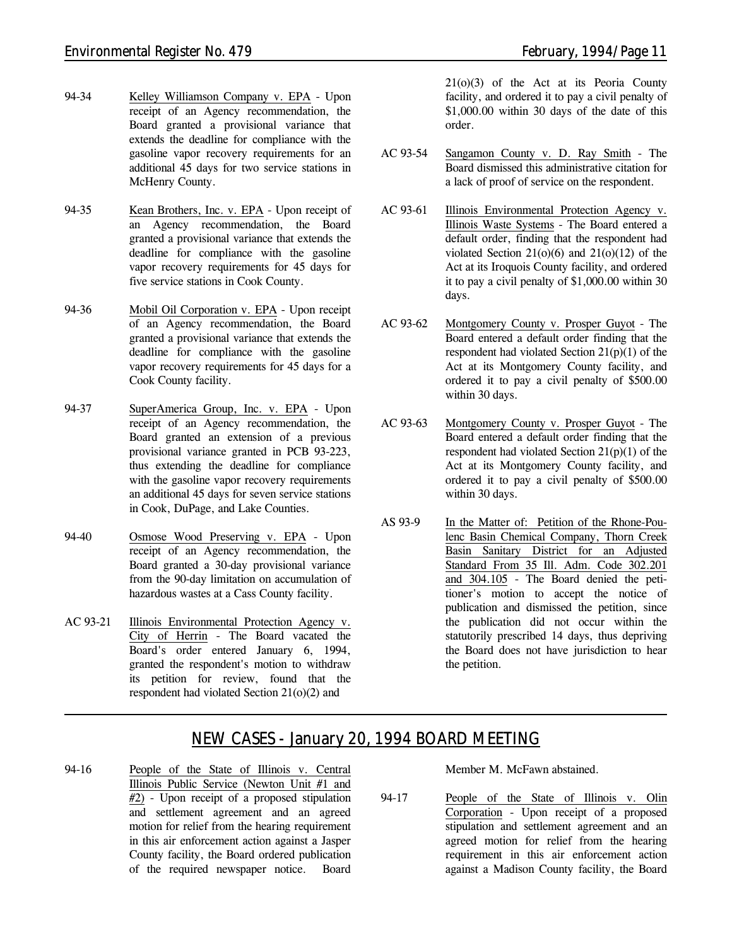- 94-34 Kelley Williamson Company v. EPA Upon receipt of an Agency recommendation, the Board granted a provisional variance that extends the deadline for compliance with the gasoline vapor recovery requirements for an additional 45 days for two service stations in McHenry County.
- 94-35 Kean Brothers, Inc. v. EPA Upon receipt of an Agency recommendation, the Board granted a provisional variance that extends the deadline for compliance with the gasoline vapor recovery requirements for 45 days for five service stations in Cook County.
- 94-36 Mobil Oil Corporation v. EPA Upon receipt of an Agency recommendation, the Board granted a provisional variance that extends the deadline for compliance with the gasoline vapor recovery requirements for 45 days for a Cook County facility.
- 94-37 SuperAmerica Group, Inc. v. EPA Upon receipt of an Agency recommendation, the Board granted an extension of a previous provisional variance granted in PCB 93-223, thus extending the deadline for compliance with the gasoline vapor recovery requirements an additional 45 days for seven service stations in Cook, DuPage, and Lake Counties.
- 94-40 Osmose Wood Preserving v. EPA Upon receipt of an Agency recommendation, the Board granted a 30-day provisional variance from the 90-day limitation on accumulation of hazardous wastes at a Cass County facility.
- AC 93-21 Illinois Environmental Protection Agency v. City of Herrin - The Board vacated the Board's order entered January 6, 1994, granted the respondent's motion to withdraw its petition for review, found that the respondent had violated Section 21(o)(2) and

21(o)(3) of the Act at its Peoria County facility, and ordered it to pay a civil penalty of \$1,000.00 within 30 days of the date of this order.

- AC 93-54 Sangamon County v. D. Ray Smith The Board dismissed this administrative citation for a lack of proof of service on the respondent.
- AC 93-61 Illinois Environmental Protection Agency v. Illinois Waste Systems - The Board entered a default order, finding that the respondent had violated Section  $21(0)(6)$  and  $21(0)(12)$  of the Act at its Iroquois County facility, and ordered it to pay a civil penalty of \$1,000.00 within 30 days.
- AC 93-62 Montgomery County v. Prosper Guyot The Board entered a default order finding that the respondent had violated Section 21(p)(1) of the Act at its Montgomery County facility, and ordered it to pay a civil penalty of \$500.00 within 30 days.
- AC 93-63 Montgomery County v. Prosper Guyot The Board entered a default order finding that the respondent had violated Section 21(p)(1) of the Act at its Montgomery County facility, and ordered it to pay a civil penalty of \$500.00 within 30 days.
- AS 93-9 In the Matter of: Petition of the Rhone-Poulenc Basin Chemical Company, Thorn Creek Basin Sanitary District for an Adjusted Standard From 35 Ill. Adm. Code 302.201 and 304.105 - The Board denied the petitioner's motion to accept the notice of publication and dismissed the petition, since the publication did not occur within the statutorily prescribed 14 days, thus depriving the Board does not have jurisdiction to hear the petition.

## *NEW CASES - January 20, 1994 BOARD MEETING*

94-16 People of the State of Illinois v. Central Illinois Public Service (Newton Unit #1 and #2) - Upon receipt of a proposed stipulation and settlement agreement and an agreed motion for relief from the hearing requirement in this air enforcement action against a Jasper County facility, the Board ordered publication of the required newspaper notice. Board

Member M. McFawn abstained.

94-17 People of the State of Illinois v. Olin Corporation - Upon receipt of a proposed stipulation and settlement agreement and an agreed motion for relief from the hearing requirement in this air enforcement action against a Madison County facility, the Board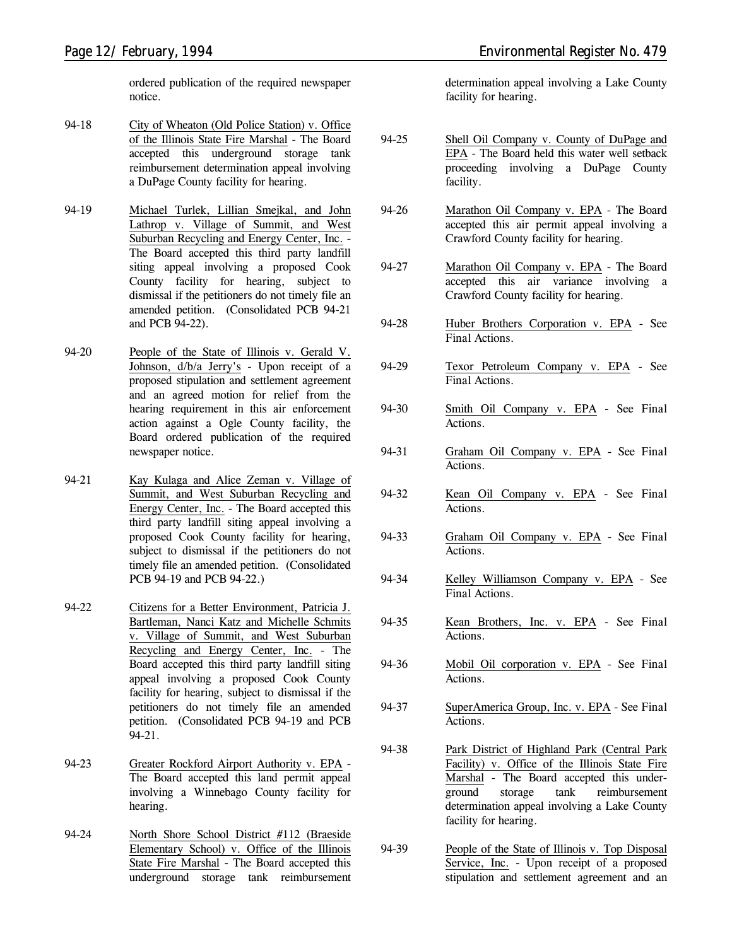- 94-18 City of Wheaton (Old Police Station) v. Office of the Illinois State Fire Marshal - The Board accepted this underground storage tank reimbursement determination appeal involving a DuPage County facility for hearing.
- 94-19 Michael Turlek, Lillian Smejkal, and John Lathrop v. Village of Summit, and West Suburban Recycling and Energy Center, Inc. - The Board accepted this third party landfill siting appeal involving a proposed Cook County facility for hearing, subject to dismissal if the petitioners do not timely file an amended petition. (Consolidated PCB 94-21 and PCB 94-22).
- 94-20 People of the State of Illinois v. Gerald V. Johnson, d/b/a Jerry's - Upon receipt of a proposed stipulation and settlement agreement and an agreed motion for relief from the hearing requirement in this air enforcement action against a Ogle County facility, the Board ordered publication of the required newspaper notice.
- 94-21 Kay Kulaga and Alice Zeman v. Village of Summit, and West Suburban Recycling and Energy Center, Inc. - The Board accepted this third party landfill siting appeal involving a proposed Cook County facility for hearing, subject to dismissal if the petitioners do not timely file an amended petition. (Consolidated PCB 94-19 and PCB 94-22.)
- 94-22 Citizens for a Better Environment, Patricia J. Bartleman, Nanci Katz and Michelle Schmits v. Village of Summit, and West Suburban Recycling and Energy Center, Inc. - The Board accepted this third party landfill siting appeal involving a proposed Cook County facility for hearing, subject to dismissal if the petitioners do not timely file an amended petition. (Consolidated PCB 94-19 and PCB 94-21.
- 94-23 Greater Rockford Airport Authority v. EPA The Board accepted this land permit appeal involving a Winnebago County facility for hearing.
- 94-24 North Shore School District #112 (Braeside Elementary School) v. Office of the Illinois State Fire Marshal - The Board accepted this underground storage tank reimbursement

determination appeal involving a Lake County facility for hearing.

- 94-25 Shell Oil Company v. County of DuPage and EPA - The Board held this water well setback proceeding involving a DuPage County facility.
- 94-26 Marathon Oil Company v. EPA The Board accepted this air permit appeal involving a Crawford County facility for hearing.
- 94-27 Marathon Oil Company v. EPA The Board accepted this air variance involving a Crawford County facility for hearing.
- 94-28 Huber Brothers Corporation v. EPA *See Final Actions.*
- 94-29 Texor Petroleum Company v. EPA *See Final Actions.*
- 94-30 Smith Oil Company v. EPA *See Final Actions.*
- 94-31 Graham Oil Company v. EPA *See Final Actions.*
- 94-32 Kean Oil Company v. EPA *See Final Actions.*
- 94-33 Graham Oil Company v. EPA *See Final Actions.*
- 94-34 Kelley Williamson Company v. EPA *See Final Actions.*
- 94-35 Kean Brothers, Inc. v. EPA *See Final Actions.*
- 94-36 Mobil Oil corporation v. EPA *See Final Actions.*
- 94-37 SuperAmerica Group, Inc. v. EPA *See Final Actions.*
- 94-38 Park District of Highland Park (Central Park Facility) v. Office of the Illinois State Fire Marshal - The Board accepted this underground storage tank reimbursement determination appeal involving a Lake County facility for hearing.
- 94-39 People of the State of Illinois v. Top Disposal Service, Inc. - Upon receipt of a proposed stipulation and settlement agreement and an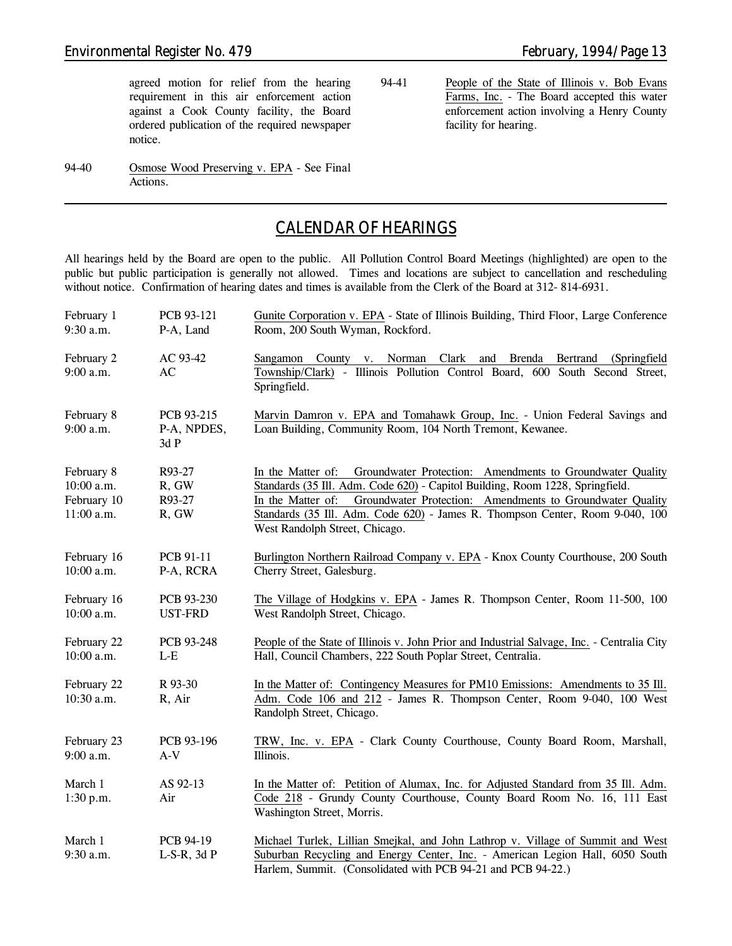agreed motion for relief from the hearing requirement in this air enforcement action against a Cook County facility, the Board ordered publication of the required newspaper notice.

94-41 People of the State of Illinois v. Bob Evans Farms, Inc. - The Board accepted this water enforcement action involving a Henry County facility for hearing.

94-40 Osmose Wood Preserving v. EPA - *See Final Actions.*

## *CALENDAR OF HEARINGS*

All hearings held by the Board are open to the public. All Pollution Control Board Meetings (highlighted) are open to the public but public participation is generally not allowed. Times and locations are subject to cancellation and rescheduling without notice. Confirmation of hearing dates and times is available from the Clerk of the Board at 312-814-6931.

| February 1<br>9:30 a.m.                               | PCB 93-121<br>P-A, Land            | Gunite Corporation v. EPA - State of Illinois Building, Third Floor, Large Conference<br>Room, 200 South Wyman, Rockford.                                                                                                                                                                                                                                            |  |  |
|-------------------------------------------------------|------------------------------------|----------------------------------------------------------------------------------------------------------------------------------------------------------------------------------------------------------------------------------------------------------------------------------------------------------------------------------------------------------------------|--|--|
| February 2<br>9:00 a.m.                               | AC 93-42<br>AC                     | County v. Norman Clark and Brenda Bertrand<br>Sangamon<br>(Springfield)<br>Township/Clark) - Illinois Pollution Control Board, 600 South Second Street,<br>Springfield.                                                                                                                                                                                              |  |  |
| February 8<br>9:00 a.m.                               | PCB 93-215<br>P-A, NPDES,<br>3dP   | Marvin Damron v. EPA and Tomahawk Group, Inc. - Union Federal Savings and<br>Loan Building, Community Room, 104 North Tremont, Kewanee.                                                                                                                                                                                                                              |  |  |
| February 8<br>10:00 a.m.<br>February 10<br>11:00 a.m. | R93-27<br>R, GW<br>R93-27<br>R, GW | Groundwater Protection: Amendments to Groundwater Quality<br>In the Matter of:<br>Standards (35 Ill. Adm. Code 620) - Capitol Building, Room 1228, Springfield.<br>Groundwater Protection: Amendments to Groundwater Quality<br>In the Matter of:<br>Standards (35 Ill. Adm. Code 620) - James R. Thompson Center, Room 9-040, 100<br>West Randolph Street, Chicago. |  |  |
| February 16<br>10:00 a.m.                             | PCB 91-11<br>P-A, RCRA             | Burlington Northern Railroad Company v. EPA - Knox County Courthouse, 200 South<br>Cherry Street, Galesburg.                                                                                                                                                                                                                                                         |  |  |
| February 16<br>10:00 a.m.                             | PCB 93-230<br><b>UST-FRD</b>       | The Village of Hodgkins v. EPA - James R. Thompson Center, Room 11-500, 100<br>West Randolph Street, Chicago.                                                                                                                                                                                                                                                        |  |  |
| February 22<br>10:00 a.m.                             | PCB 93-248<br>$L-E$                | People of the State of Illinois v. John Prior and Industrial Salvage, Inc. - Centralia City<br>Hall, Council Chambers, 222 South Poplar Street, Centralia.                                                                                                                                                                                                           |  |  |
| February 22<br>10:30 a.m.                             | R 93-30<br>R, Air                  | In the Matter of: Contingency Measures for PM10 Emissions: Amendments to 35 Ill.<br>Adm. Code 106 and 212 - James R. Thompson Center, Room 9-040, 100 West<br>Randolph Street, Chicago.                                                                                                                                                                              |  |  |
| February 23<br>9:00 a.m.                              | PCB 93-196<br>$A-V$                | TRW, Inc. v. EPA - Clark County Courthouse, County Board Room, Marshall,<br>Illinois.                                                                                                                                                                                                                                                                                |  |  |
| March 1<br>1:30 p.m.                                  | AS 92-13<br>Air                    | In the Matter of: Petition of Alumax, Inc. for Adjusted Standard from 35 Ill. Adm.<br>Code 218 - Grundy County Courthouse, County Board Room No. 16, 111 East<br>Washington Street, Morris.                                                                                                                                                                          |  |  |
| March 1<br>9:30 a.m.                                  | PCB 94-19<br>$L-S-R$ , 3d $P$      | Michael Turlek, Lillian Smejkal, and John Lathrop v. Village of Summit and West<br>Suburban Recycling and Energy Center, Inc. - American Legion Hall, 6050 South<br>Harlem, Summit. (Consolidated with PCB 94-21 and PCB 94-22.)                                                                                                                                     |  |  |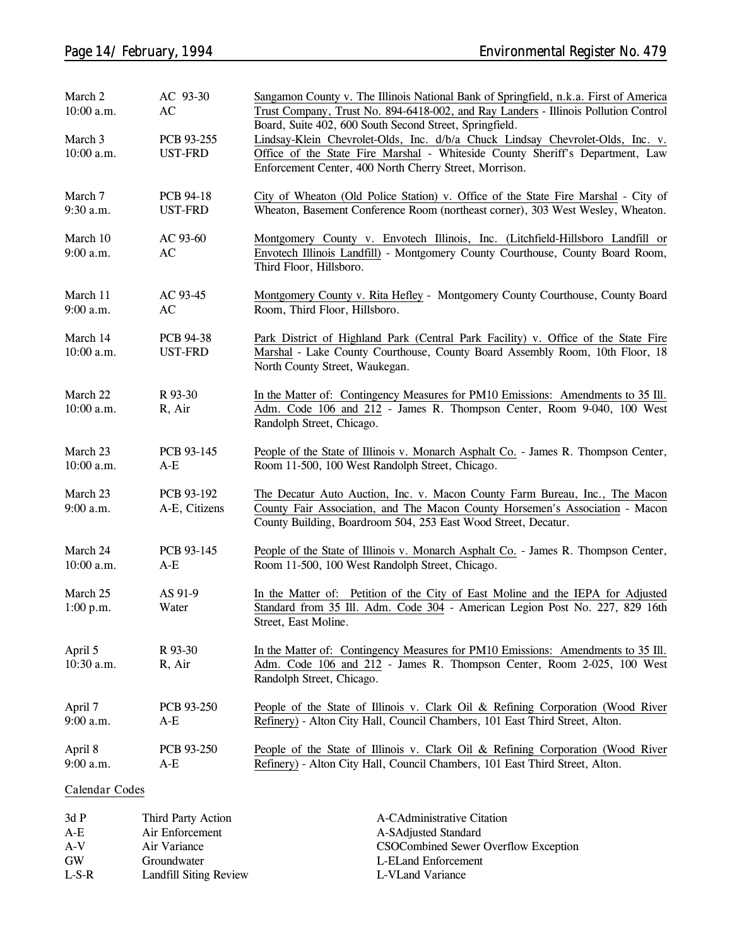| March 2<br>$10:00$ a.m.  | AC 93-30<br>AC               | Sangamon County v. The Illinois National Bank of Springfield, n.k.a. First of America<br>Trust Company, Trust No. 894-6418-002, and Ray Landers - Illinois Pollution Control<br>Board, Suite 402, 600 South Second Street, Springfield. |
|--------------------------|------------------------------|-----------------------------------------------------------------------------------------------------------------------------------------------------------------------------------------------------------------------------------------|
| March 3<br>10:00 a.m.    | PCB 93-255<br><b>UST-FRD</b> | Lindsay-Klein Chevrolet-Olds, Inc. d/b/a Chuck Lindsay Chevrolet-Olds, Inc. v.<br>Office of the State Fire Marshal - Whiteside County Sheriff's Department, Law<br>Enforcement Center, 400 North Cherry Street, Morrison.               |
| March 7<br>9:30 a.m.     | PCB 94-18<br><b>UST-FRD</b>  | City of Wheaton (Old Police Station) v. Office of the State Fire Marshal - City of<br>Wheaton, Basement Conference Room (northeast corner), 303 West Wesley, Wheaton.                                                                   |
| March 10<br>9:00 a.m.    | AC 93-60<br>AC               | Montgomery County v. Envotech Illinois, Inc. (Litchfield-Hillsboro Landfill or<br>Envotech Illinois Landfill) - Montgomery County Courthouse, County Board Room,<br>Third Floor, Hillsboro.                                             |
| March 11<br>9:00 a.m.    | AC 93-45<br>AC               | Montgomery County v. Rita Hefley - Montgomery County Courthouse, County Board<br>Room, Third Floor, Hillsboro.                                                                                                                          |
| March 14<br>10:00 a.m.   | PCB 94-38<br><b>UST-FRD</b>  | Park District of Highland Park (Central Park Facility) v. Office of the State Fire<br>Marshal - Lake County Courthouse, County Board Assembly Room, 10th Floor, 18<br>North County Street, Waukegan.                                    |
| March 22<br>10:00 a.m.   | R 93-30<br>R, Air            | In the Matter of: Contingency Measures for PM10 Emissions: Amendments to 35 Ill.<br>Adm. Code 106 and 212 - James R. Thompson Center, Room 9-040, 100 West<br>Randolph Street, Chicago.                                                 |
| March 23<br>10:00 a.m.   | PCB 93-145<br>$A-E$          | People of the State of Illinois v. Monarch Asphalt Co. - James R. Thompson Center,<br>Room 11-500, 100 West Randolph Street, Chicago.                                                                                                   |
| March 23<br>$9:00$ a.m.  | PCB 93-192<br>A-E, Citizens  | The Decatur Auto Auction, Inc. v. Macon County Farm Bureau, Inc., The Macon<br>County Fair Association, and The Macon County Horsemen's Association - Macon<br>County Building, Boardroom 504, 253 East Wood Street, Decatur.           |
| March 24<br>$10:00$ a.m. | PCB 93-145<br>$A-E$          | People of the State of Illinois v. Monarch Asphalt Co. - James R. Thompson Center,<br>Room 11-500, 100 West Randolph Street, Chicago.                                                                                                   |
| March 25<br>1:00 p.m.    | AS 91-9<br>Water             | In the Matter of: Petition of the City of East Moline and the IEPA for Adjusted<br>Standard from 35 Ill. Adm. Code 304 - American Legion Post No. 227, 829 16th<br>Street, East Moline.                                                 |
| April 5<br>10:30 a.m.    | R 93-30<br>R, Air            | In the Matter of: Contingency Measures for PM10 Emissions: Amendments to 35 Ill.<br>Adm. Code 106 and 212 - James R. Thompson Center, Room 2-025, 100 West<br>Randolph Street, Chicago.                                                 |
| April 7<br>9:00 a.m.     | PCB 93-250<br>$A-E$          | People of the State of Illinois v. Clark Oil & Refining Corporation (Wood River<br>Refinery) - Alton City Hall, Council Chambers, 101 East Third Street, Alton.                                                                         |
| April 8<br>9:00 a.m.     | PCB 93-250<br>$A-E$          | People of the State of Illinois v. Clark Oil & Refining Corporation (Wood River<br>Refinery) - Alton City Hall, Council Chambers, 101 East Third Street, Alton.                                                                         |

## **Calendar Codes**

| 3dP     | Third Party Action            | A-CAdministrative Citation           |
|---------|-------------------------------|--------------------------------------|
| $A - E$ | Air Enforcement               | A-SAdjusted Standard                 |
| $A-V$   | Air Variance                  | CSOCombined Sewer Overflow Exception |
| GW      | Groundwater                   | L-ELand Enforcement                  |
| $L-S-R$ | <b>Landfill Siting Review</b> | L-VLand Variance                     |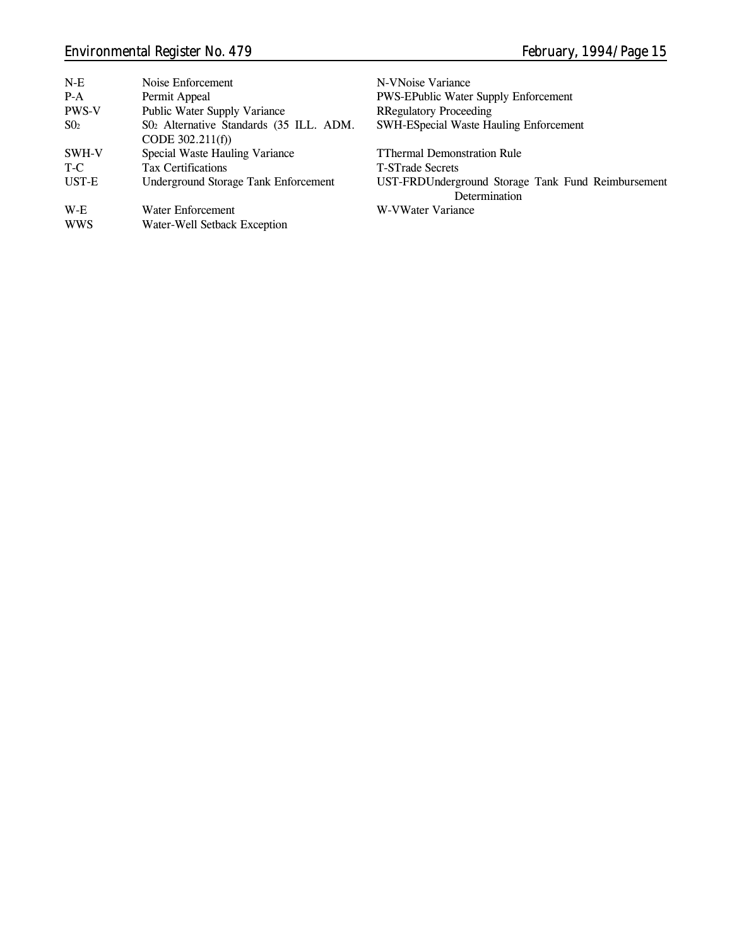# *Environmental Register No. 479 February, 1994/Page 15*

| $N-E$             | Noise Enforcement                                            | N-VNoise Variance                                                   |
|-------------------|--------------------------------------------------------------|---------------------------------------------------------------------|
| $P-A$             | Permit Appeal                                                | <b>PWS-EPublic Water Supply Enforcement</b>                         |
| <b>PWS-V</b>      | Public Water Supply Variance                                 | <b>RRegulatory Proceeding</b>                                       |
| SO <sub>2</sub>   | S02 Alternative Standards (35 ILL. ADM.<br>CODE $302.211(f)$ | <b>SWH-ESpecial Waste Hauling Enforcement</b>                       |
| SWH-V             | Special Waste Hauling Variance                               | <b>TThermal Demonstration Rule</b>                                  |
| T-C               | <b>Tax Certifications</b>                                    | <b>T-STrade Secrets</b>                                             |
| UST-E             | <b>Underground Storage Tank Enforcement</b>                  | UST-FRDUnderground Storage Tank Fund Reimbursement<br>Determination |
| W-E<br><b>WWS</b> | Water Enforcement<br>Water-Well Setback Exception            | W-VWater Variance                                                   |
|                   |                                                              |                                                                     |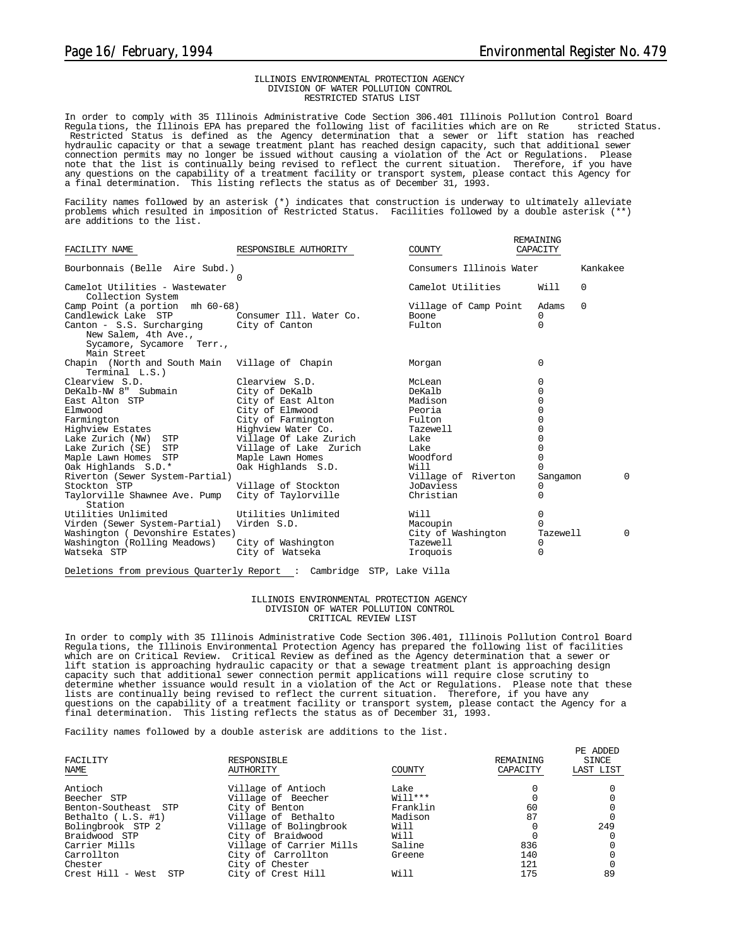REMAINING

#### ILLINOIS ENVIRONMENTAL PROTECTION AGENCY DIVISION OF WATER POLLUTION CONTROL RESTRICTED STATUS LIST

In order to comply with 35 Illinois Administrative Code Section 306.401 Illinois Pollution Control Board Regulations, the Illinois EPA has prepared the following list of facilities which are on Re Restricted Status is defined as the Agency determination that a sewer or lift station has reached hydraulic capacity or that a sewage treatment plant has reached design capacity, such that additional sewer connection permits may no longer be issued without causing a violation of the Act or Regulations. Please note that the list is continually being revised to reflect the current situation. Therefore, if you have any questions on the capability of a treatment facility or transport system, please contact this Agency for a final determination. This listing reflects the status as of December 31, 1993.

Facility names followed by an asterisk (\*) indicates that construction is underway to ultimately alleviate problems which resulted in imposition of Restricted Status. Facilities followed by a double asterisk (\*\*) are additions to the list.

| FACILITY NAME                                                                                                | RESPONSIBLE AUTHORITY   | <b>COUNTY</b>            | CAPACITY     |          |
|--------------------------------------------------------------------------------------------------------------|-------------------------|--------------------------|--------------|----------|
| Bourbonnais (Belle Aire Subd.)                                                                               | U                       | Consumers Illinois Water |              | Kankakee |
| Camelot Utilities - Wastewater<br>Collection System                                                          |                         | Camelot Utilities        | Will         | 0        |
| Camp Point (a portion mh 60-68)                                                                              |                         | Village of Camp Point    | Adams        | $\Omega$ |
| Candlewick Lake STP                                                                                          | Consumer Ill. Water Co. | <b>Boone</b>             | $\Omega$     |          |
| Canton - S.S. Surcharging City of Canton<br>New Salem, 4th Ave.,<br>Sycamore, Sycamore Terr.,<br>Main Street |                         | Fulton                   | $\Omega$     |          |
| Chapin (North and South Main Village of Chapin<br>Terminal L.S.)                                             |                         | Morgan                   | $\Omega$     |          |
| Clearview S.D.                                                                                               | Clearview S.D.          | McLean                   | 0            |          |
| DeKalb-NW 8" Submain                                                                                         | City of DeKalb          | DeKalb                   | $\Omega$     |          |
| East Alton STP                                                                                               | City of East Alton      | Madison                  | $\Omega$     |          |
| Elmwood                                                                                                      | City of Elmwood         | Peoria                   | $\Omega$     |          |
| Farmington                                                                                                   | City of Farmington      | Fulton                   | 0            |          |
| Highview Estates                                                                                             | Highview Water Co.      | Tazewell                 | 0            |          |
| Lake Zurich (NW) STP                                                                                         | Village Of Lake Zurich  | Lake                     | 0            |          |
| Lake Zurich (SE) STP                                                                                         | Village of Lake Zurich  | Lake                     | $\Omega$     |          |
| Maple Lawn Homes STP                                                                                         | Maple Lawn Homes        | Woodford                 | <sup>0</sup> |          |
| Oak Highlands S.D.*                                                                                          | Oak Highlands S.D.      | Will                     |              |          |
| Riverton (Sewer System-Partial)                                                                              |                         | Village of Riverton      | Sangamon     | $\Omega$ |
| Stockton STP                                                                                                 | Village of Stockton     | JoDaviess                | 0            |          |
| Taylorville Shawnee Ave. Pump<br>Station                                                                     | City of Taylorville     | Christian                | $\Omega$     |          |
| Utilities Unlimited                                                                                          | Utilities Unlimited     | Will                     | 0            |          |
| Virden (Sewer System-Partial)                                                                                | Virden S.D.             | Macoupin                 | <sup>n</sup> |          |
| Washington (Devonshire Estates)                                                                              |                         | City of Washington       | Tazewell     | $\Omega$ |
| Washington (Rolling Meadows)                                                                                 | City of Washington      | Tazewell                 | 0            |          |
| Watseka STP                                                                                                  | City of Watseka         | Iroquois                 | $\Omega$     |          |

Deletions from previous Quarterly Report : Cambridge STP, Lake Villa

#### ILLINOIS ENVIRONMENTAL PROTECTION AGENCY DIVISION OF WATER POLLUTION CONTROL CRITICAL REVIEW LIST

In order to comply with 35 Illinois Administrative Code Section 306.401, Illinois Pollution Control Board Regula tions, the Illinois Environmental Protection Agency has prepared the following list of facilities which are on Critical Review. Critical Review as defined as the Agency determination that a sewer or lift station is approaching hydraulic capacity or that a sewage treatment plant is approaching design capacity such that additional sewer connection permit applications will require close scrutiny to determine whether issuance would result in a violation of the Act or Regulations. Please note that these lists are continually being revised to reflect the current situation. Therefore, if you have any questions on the capability of a treatment facility or transport system, please contact the Agency for a final determination. This listing reflects the status as of December 31, 1993.

Facility names followed by a double asterisk are additions to the list.

| FACILITY<br>NAME         | RESPONSIBLE<br>AUTHORITY | COUNTY    | REMAINING<br>CAPACITY | PE ADDED<br>SINCE<br>LAST LIST |
|--------------------------|--------------------------|-----------|-----------------------|--------------------------------|
| Antioch                  | Village of Antioch       | Lake      |                       |                                |
| Beecher STP              | Village of Beecher       | $Wi11***$ |                       |                                |
| Benton-Southeast STP     | City of Benton           | Franklin  | 60                    |                                |
| Bethalto (L.S. #1)       | Village of Bethalto      | Madison   | 87                    |                                |
| Bolingbrook STP 2        | Village of Bolingbrook   | Will      |                       | 249                            |
| Braidwood STP            | City of Braidwood        | Will      |                       |                                |
| Carrier Mills            | Village of Carrier Mills | Saline    | 836                   |                                |
| Carrollton               | City of Carrollton       | Greene    | 140                   |                                |
| Chester                  | City of Chester          |           | 121                   |                                |
| Crest Hill - West<br>STP | City of Crest Hill       | Will      | 175                   | 89                             |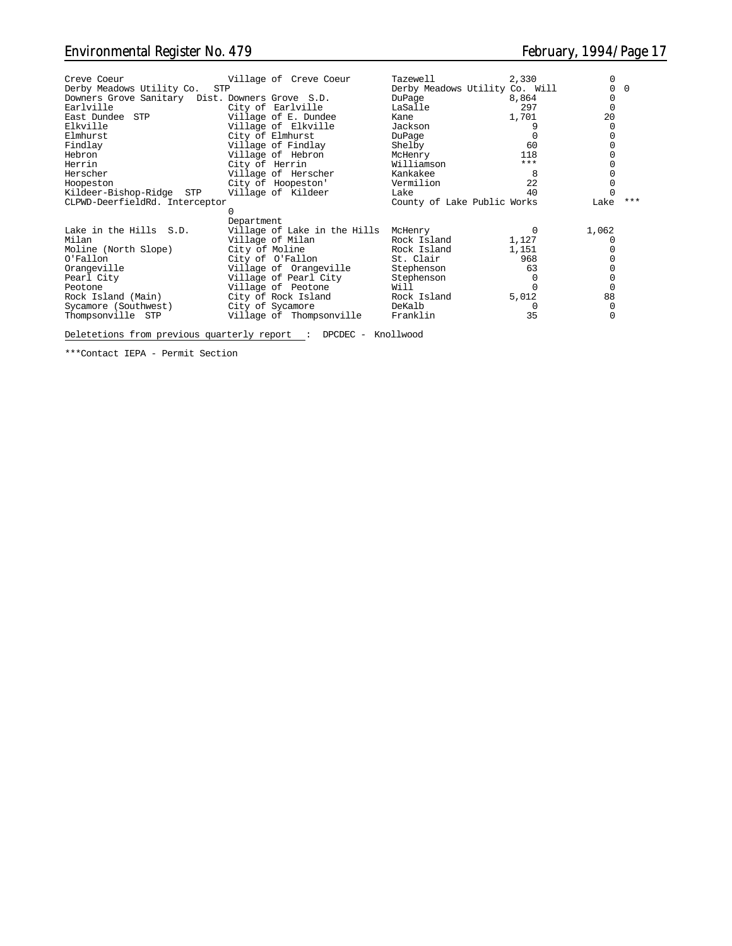| Derby Meadows Utility Co. Will<br>Derby Meadows Utility Co.<br>STP<br>0<br>Downers Grove Sanitary Dist. Downers Grove S.D.<br>DuPage<br>8,864<br>Earlville<br>297<br>City of Earlville<br>LaSalle<br><sup>0</sup><br>1,701<br>20<br>Village of E. Dundee<br>East Dundee STP<br>Kane<br>Elkville<br>Village of Elkville<br>Jackson |       |
|-----------------------------------------------------------------------------------------------------------------------------------------------------------------------------------------------------------------------------------------------------------------------------------------------------------------------------------|-------|
|                                                                                                                                                                                                                                                                                                                                   |       |
|                                                                                                                                                                                                                                                                                                                                   |       |
|                                                                                                                                                                                                                                                                                                                                   |       |
|                                                                                                                                                                                                                                                                                                                                   |       |
|                                                                                                                                                                                                                                                                                                                                   |       |
| City of Elmhurst<br>Elmhurst<br>DuPage                                                                                                                                                                                                                                                                                            |       |
| 60<br>Village of Findlay<br>Shelby<br>Findlay                                                                                                                                                                                                                                                                                     |       |
| 118<br>Hebron<br>Village of Hebron<br>McHenry                                                                                                                                                                                                                                                                                     |       |
| $***$<br>Herrin<br>Williamson<br>City of Herrin                                                                                                                                                                                                                                                                                   |       |
| Village of Herscher<br>Herscher<br>Kankakee<br>8                                                                                                                                                                                                                                                                                  |       |
| 2.2.<br>City of Hoopeston'<br>Vermilion<br>Hoopeston                                                                                                                                                                                                                                                                              |       |
| 40<br>Kildeer-Bishop-Ridge STP<br>Village of Kildeer<br>Lake                                                                                                                                                                                                                                                                      |       |
| CLPWD-DeerfieldRd. Interceptor<br>County of Lake Public Works<br>Lake                                                                                                                                                                                                                                                             | $***$ |
|                                                                                                                                                                                                                                                                                                                                   |       |
| Department                                                                                                                                                                                                                                                                                                                        |       |
| Lake in the Hills S.D.<br>Village of Lake in the Hills<br>1,062<br>McHenry                                                                                                                                                                                                                                                        |       |
| Milan<br>1,127<br>Village of Milan<br>Rock Island                                                                                                                                                                                                                                                                                 |       |
| City of Moline<br>Moline (North Slope)<br>Rock Island<br>1,151                                                                                                                                                                                                                                                                    |       |
| O'Fallon<br>City of O'Fallon<br>968<br>St. Clair                                                                                                                                                                                                                                                                                  |       |
| Village of Orangeville<br>63<br>Orangeville<br>Stephenson                                                                                                                                                                                                                                                                         |       |
| Pearl City<br>Village of Pearl City<br>Stephenson                                                                                                                                                                                                                                                                                 |       |
| Village of Peotone<br>Will<br>Peotone                                                                                                                                                                                                                                                                                             |       |
| 88<br>City of Rock Island<br>5,012<br>Rock Island (Main)<br>Rock Island                                                                                                                                                                                                                                                           |       |
| DeKalb<br>Sycamore (Southwest)<br>City of Sycamore                                                                                                                                                                                                                                                                                |       |
| 35<br>Thompsonville STP<br>Village of Thompsonville<br>Franklin<br>0                                                                                                                                                                                                                                                              |       |

Deletetions from previous quarterly report \_: DPCDEC - Knollwood

\*\*\*Contact IEPA - Permit Section